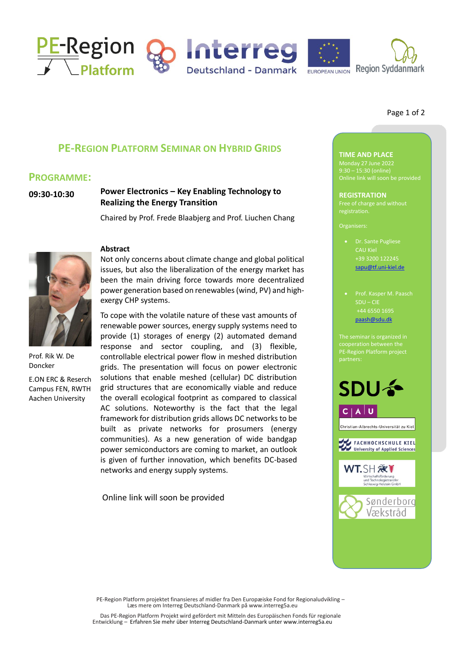

### Page 1 of 2

# **PE-REGION PLATFORM SEMINAR ON HYBRID GRIDS**

## **PROGRAMME:**

**09:30-10:30**

## **Power Electronics – Key Enabling Technology to Realizing the Energy Transition**

Chaired by Prof. Frede Blaabjerg and Prof. Liuchen Chang



Prof. Rik W. De Doncker

E.ON ERC & Reserch Campus FEN, RWTH Aachen University

## **Abstract**

Not only concerns about climate change and global political issues, but also the liberalization of the energy market has been the main driving force towards more decentralized power generation based on renewables (wind, PV) and highexergy CHP systems.

To cope with the volatile nature of these vast amounts of renewable power sources, energy supply systems need to provide (1) storages of energy (2) automated demand response and sector coupling, and (3) flexible, controllable electrical power flow in meshed distribution grids. The presentation will focus on power electronic solutions that enable meshed (cellular) DC distribution grid structures that are economically viable and reduce the overall ecological footprint as compared to classical AC solutions. Noteworthy is the fact that the legal framework for distribution grids allows DC networks to be built as private networks for prosumers (energy communities). As a new generation of wide bandgap power semiconductors are coming to market, an outlook is given of further innovation, which benefits DC-based networks and energy supply systems.

Online link will soon be provided

# **TIME AND PLACE**

Monday 27 June 2022 9:30 – 15:30 (online)

**REGISTRATION** registration.

- Dr. Sante Pugliese CAU Kiel +39 3200 122245 [sapu@tf.uni-kiel.de](mailto:sapu@tf.uni-kiel.de)
- Prof. Kasper M. Paasch SDU – CIE +44 6550 1695 [paash@sdu.dk](mailto:jbergmann@wtsh.de)

PE-Region Platform project



PE-Region Platform projektet finansieres af midler fra Den Europæiske Fond for Regionaludvikling – Læs mere om Interreg Deutschland-Danmark på www.interreg5a.eu